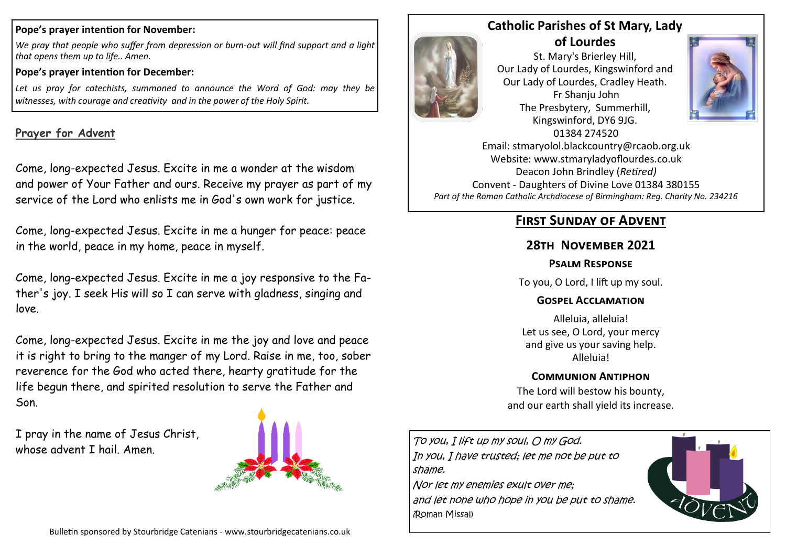#### **Pope's prayer intention for November:**

*We pray that people who suffer from depression or burn-out will find support and a light that opens them up to life.. Amen.*

#### **Pope's prayer intention for December:**

*Let us pray for catechists, summoned to announce the Word of God: may they be witnesses, with courage and creativity and in the power of the Holy Spirit.*

### **Prayer for Advent**

Come, long-expected Jesus. Excite in me a wonder at the wisdom and power of Your Father and ours. Receive my prayer as part of my service of the Lord who enlists me in God's own work for justice.

Come, long-expected Jesus. Excite in me a hunger for peace: peace in the world, peace in my home, peace in myself.

Come, long-expected Jesus. Excite in me a joy responsive to the Father's joy. I seek His will so I can serve with gladness, singing and love.

Come, long-expected Jesus. Excite in me the joy and love and peace it is right to bring to the manger of my Lord. Raise in me, too, sober reverence for the God who acted there, hearty gratitude for the life begun there, and spirited resolution to serve the Father and Son.

I pray in the name of Jesus Christ, whose advent I hail. Amen.





(Roman Missal)

### **Catholic Parishes of St Mary, Lady of Lourdes**

St. Mary's Brierley Hill, Our Lady of Lourdes, Kingswinford and Our Lady of Lourdes, Cradley Heath. Fr Shanju John The Presbytery, Summerhill, Kingswinford, DY6 9JG. 01384 274520



Email: stmaryolol.blackcountry@rcaob.org.uk Website: www.stmaryladyoflourdes.co.uk Deacon John Brindley (*Retired)* Convent - Daughters of Divine Love 01384 380155 *Part of the Roman Catholic Archdiocese of Birmingham: Reg. Charity No. 234216*

## **First Sunday of Advent**

### **28th November 2021**

#### **Psalm Response**

To you, O Lord, I lift up my soul.

### **Gospel Acclamation**

Alleluia, alleluia! Let us see, O Lord, your mercy and give us your saving help. Alleluia!

### **Communion Antiphon**

The Lord will bestow his bounty, and our earth shall yield its increase.